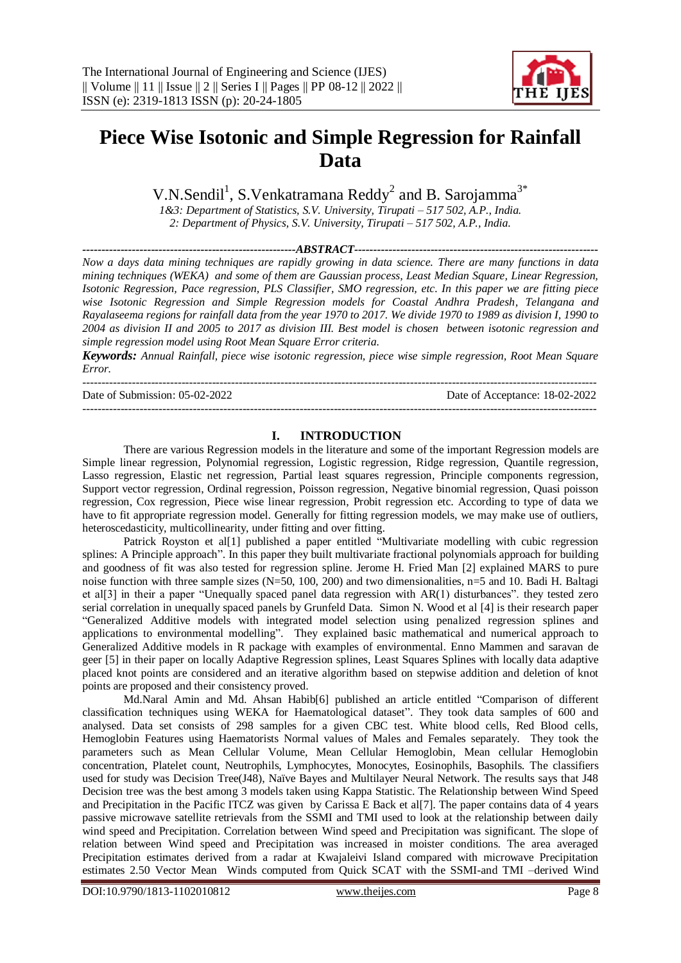

# **Piece Wise Isotonic and Simple Regression for Rainfall Data**

V.N.Sendil<sup>1</sup>, S.Venkatramana Reddy<sup>2</sup> and B. Sarojamma<sup>3\*</sup>

*1&3: Department of Statistics, S.V. University, Tirupati – 517 502, A.P., India. 2: Department of Physics, S.V. University, Tirupati – 517 502, A.P., India.*

*--------------------------------------------------------ABSTRACT----------------------------------------------------------------*

*Now a days data mining techniques are rapidly growing in data science. There are many functions in data mining techniques (WEKA) and some of them are Gaussian process, Least Median Square, Linear Regression, Isotonic Regression, Pace regression, PLS Classifier, SMO regression, etc. In this paper we are fitting piece wise Isotonic Regression and Simple Regression models for Coastal Andhra Pradesh, Telangana and Rayalaseema regions for rainfall data from the year 1970 to 2017. We divide 1970 to 1989 as division I, 1990 to 2004 as division II and 2005 to 2017 as division III. Best model is chosen between isotonic regression and simple regression model using Root Mean Square Error criteria.*

*Keywords: Annual Rainfall, piece wise isotonic regression, piece wise simple regression, Root Mean Square Error.*

--------------------------------------------------------------------------------------------------------------------------------------- Date of Submission: 05-02-2022 Date of Acceptance: 18-02-2022 ---------------------------------------------------------------------------------------------------------------------------------------

## **I. INTRODUCTION**

There are various Regression models in the literature and some of the important Regression models are Simple linear regression, Polynomial regression, Logistic regression, Ridge regression, Quantile regression, Lasso regression, Elastic net regression, Partial least squares regression, Principle components regression, Support vector regression, Ordinal regression, Poisson regression, Negative binomial regression, Quasi poisson regression, Cox regression, Piece wise linear regression, Probit regression etc. According to type of data we have to fit appropriate regression model. Generally for fitting regression models, we may make use of outliers, heteroscedasticity, multicollinearity, under fitting and over fitting.

Patrick Royston et al[1] published a paper entitled "Multivariate modelling with cubic regression splines: A Principle approach". In this paper they built multivariate fractional polynomials approach for building and goodness of fit was also tested for regression spline. Jerome H. Fried Man [2] explained MARS to pure noise function with three sample sizes (N=50, 100, 200) and two dimensionalities, n=5 and 10. Badi H. Baltagi et al[3] in their a paper "Unequally spaced panel data regression with AR(1) disturbances". they tested zero serial correlation in unequally spaced panels by Grunfeld Data. Simon N. Wood et al [4] is their research paper "Generalized Additive models with integrated model selection using penalized regression splines and applications to environmental modelling". They explained basic mathematical and numerical approach to Generalized Additive models in R package with examples of environmental. Enno Mammen and saravan de geer [5] in their paper on locally Adaptive Regression splines, Least Squares Splines with locally data adaptive placed knot points are considered and an iterative algorithm based on stepwise addition and deletion of knot points are proposed and their consistency proved.

Md.Naral Amin and Md. Ahsan Habib[6] published an article entitled "Comparison of different classification techniques using WEKA for Haematological dataset". They took data samples of 600 and analysed. Data set consists of 298 samples for a given CBC test. White blood cells, Red Blood cells, Hemoglobin Features using Haematorists Normal values of Males and Females separately. They took the parameters such as Mean Cellular Volume, Mean Cellular Hemoglobin, Mean cellular Hemoglobin concentration, Platelet count, Neutrophils, Lymphocytes, Monocytes, Eosinophils, Basophils. The classifiers used for study was Decision Tree(J48), Naïve Bayes and Multilayer Neural Network. The results says that J48 Decision tree was the best among 3 models taken using Kappa Statistic. The Relationship between Wind Speed and Precipitation in the Pacific ITCZ was given by Carissa E Back et al[7]. The paper contains data of 4 years passive microwave satellite retrievals from the SSMI and TMI used to look at the relationship between daily wind speed and Precipitation. Correlation between Wind speed and Precipitation was significant. The slope of relation between Wind speed and Precipitation was increased in moister conditions. The area averaged Precipitation estimates derived from a radar at Kwajaleivi Island compared with microwave Precipitation estimates 2.50 Vector Mean Winds computed from Quick SCAT with the SSMI-and TMI –derived Wind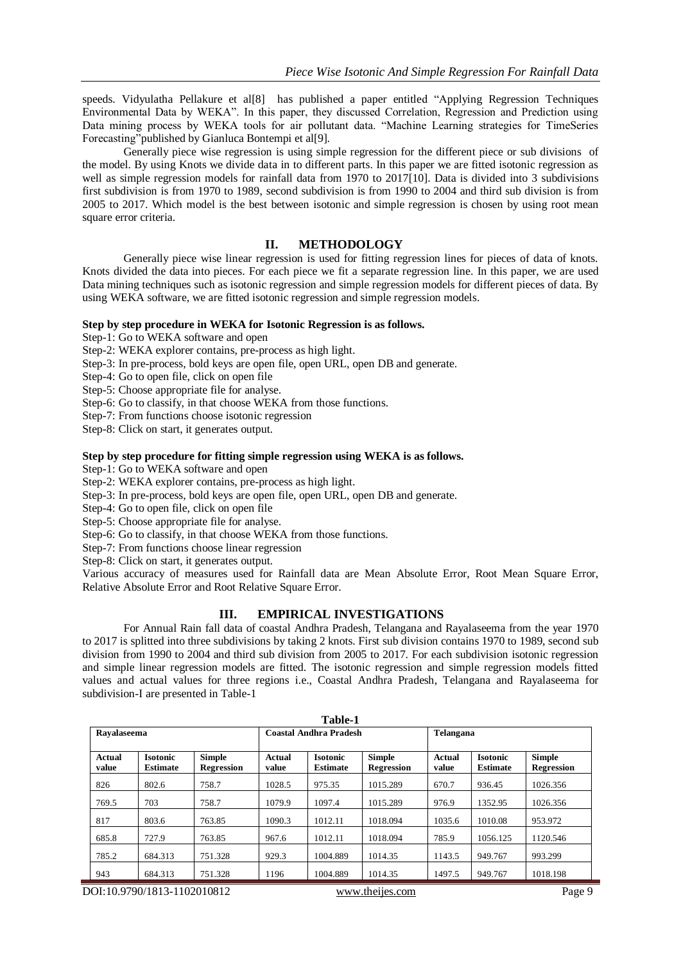speeds. Vidyulatha Pellakure et al[8] has published a paper entitled "Applying Regression Techniques Environmental Data by WEKA". In this paper, they discussed Correlation, Regression and Prediction using Data mining process by WEKA tools for air pollutant data. "Machine Learning strategies for TimeSeries Forecasting"published by Gianluca Bontempi et al[9].

Generally piece wise regression is using simple regression for the different piece or sub divisions of the model. By using Knots we divide data in to different parts. In this paper we are fitted isotonic regression as well as simple regression models for rainfall data from 1970 to 2017[10]. Data is divided into 3 subdivisions first subdivision is from 1970 to 1989, second subdivision is from 1990 to 2004 and third sub division is from 2005 to 2017. Which model is the best between isotonic and simple regression is chosen by using root mean square error criteria.

## **II. METHODOLOGY**

Generally piece wise linear regression is used for fitting regression lines for pieces of data of knots. Knots divided the data into pieces. For each piece we fit a separate regression line. In this paper, we are used Data mining techniques such as isotonic regression and simple regression models for different pieces of data. By using WEKA software, we are fitted isotonic regression and simple regression models.

#### **Step by step procedure in WEKA for Isotonic Regression is as follows.**

Step-1: Go to WEKA software and open

Step-2: WEKA explorer contains, pre-process as high light.

Step-3: In pre-process, bold keys are open file, open URL, open DB and generate.

Step-4: Go to open file, click on open file

Step-5: Choose appropriate file for analyse.

Step-6: Go to classify, in that choose WEKA from those functions.

Step-7: From functions choose isotonic regression

Step-8: Click on start, it generates output.

#### **Step by step procedure for fitting simple regression using WEKA is as follows.**

Step-1: Go to WEKA software and open

Step-2: WEKA explorer contains, pre-process as high light.

Step-3: In pre-process, bold keys are open file, open URL, open DB and generate.

Step-4: Go to open file, click on open file

Step-5: Choose appropriate file for analyse.

Step-6: Go to classify, in that choose WEKA from those functions.

Step-7: From functions choose linear regression

Step-8: Click on start, it generates output.

Various accuracy of measures used for Rainfall data are Mean Absolute Error, Root Mean Square Error, Relative Absolute Error and Root Relative Square Error.

### **III. EMPIRICAL INVESTIGATIONS**

For Annual Rain fall data of coastal Andhra Pradesh, Telangana and Rayalaseema from the year 1970 to 2017 is splitted into three subdivisions by taking 2 knots. First sub division contains 1970 to 1989, second sub division from 1990 to 2004 and third sub division from 2005 to 2017. For each subdivision isotonic regression and simple linear regression models are fitted. The isotonic regression and simple regression models fitted values and actual values for three regions i.e., Coastal Andhra Pradesh, Telangana and Rayalaseema for subdivision-I are presented in Table-1

| Table-1         |                                    |                                    |                        |                                    |                             |                        |                                    |                             |  |
|-----------------|------------------------------------|------------------------------------|------------------------|------------------------------------|-----------------------------|------------------------|------------------------------------|-----------------------------|--|
|                 | Ravalaseema                        |                                    |                        | <b>Coastal Andhra Pradesh</b>      |                             |                        | Telangana                          |                             |  |
| Actual<br>value | <b>Isotonic</b><br><b>Estimate</b> | <b>Simple</b><br><b>Regression</b> | <b>Actual</b><br>value | <b>Isotonic</b><br><b>Estimate</b> | Simple<br><b>Regression</b> | <b>Actual</b><br>value | <b>Isotonic</b><br><b>Estimate</b> | Simple<br><b>Regression</b> |  |
| 826             | 802.6                              | 758.7                              | 1028.5                 | 975.35                             | 1015.289                    | 670.7                  | 936.45                             | 1026.356                    |  |
| 769.5           | 703                                | 758.7                              | 1079.9                 | 1097.4                             | 1015.289                    | 976.9                  | 1352.95                            | 1026.356                    |  |
| 817             | 803.6                              | 763.85                             | 1090.3                 | 1012.11                            | 1018.094                    | 1035.6                 | 1010.08                            | 953.972                     |  |
| 685.8           | 727.9                              | 763.85                             | 967.6                  | 1012.11                            | 1018.094                    | 785.9                  | 1056.125                           | 1120.546                    |  |
| 785.2           | 684.313                            | 751.328                            | 929.3                  | 1004.889                           | 1014.35                     | 1143.5                 | 949.767                            | 993.299                     |  |
| 943             | 684.313                            | 751.328                            | 1196                   | 1004.889                           | 1014.35                     | 1497.5                 | 949.767                            | 1018.198                    |  |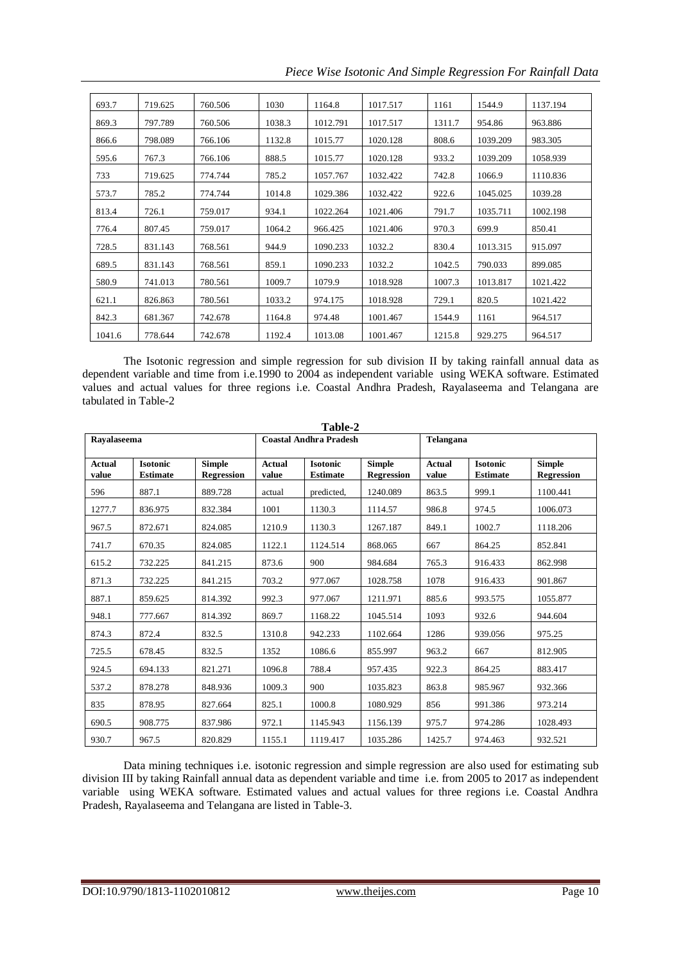*Piece Wise Isotonic And Simple Regression For Rainfall Data*

| 693.7  | 719.625 | 760.506 | 1030   | 1164.8   | 1017.517 | 1161   | 1544.9   | 1137.194 |
|--------|---------|---------|--------|----------|----------|--------|----------|----------|
| 869.3  | 797.789 | 760.506 | 1038.3 | 1012.791 | 1017.517 | 1311.7 | 954.86   | 963.886  |
| 866.6  | 798.089 | 766.106 | 1132.8 | 1015.77  | 1020.128 | 808.6  | 1039.209 | 983.305  |
| 595.6  | 767.3   | 766.106 | 888.5  | 1015.77  | 1020.128 | 933.2  | 1039.209 | 1058.939 |
| 733    | 719.625 | 774.744 | 785.2  | 1057.767 | 1032.422 | 742.8  | 1066.9   | 1110.836 |
| 573.7  | 785.2   | 774.744 | 1014.8 | 1029.386 | 1032.422 | 922.6  | 1045.025 | 1039.28  |
| 813.4  | 726.1   | 759.017 | 934.1  | 1022.264 | 1021.406 | 791.7  | 1035.711 | 1002.198 |
| 776.4  | 807.45  | 759.017 | 1064.2 | 966.425  | 1021.406 | 970.3  | 699.9    | 850.41   |
| 728.5  | 831.143 | 768.561 | 944.9  | 1090.233 | 1032.2   | 830.4  | 1013.315 | 915.097  |
| 689.5  | 831.143 | 768.561 | 859.1  | 1090.233 | 1032.2   | 1042.5 | 790.033  | 899.085  |
| 580.9  | 741.013 | 780.561 | 1009.7 | 1079.9   | 1018.928 | 1007.3 | 1013.817 | 1021.422 |
| 621.1  | 826.863 | 780.561 | 1033.2 | 974.175  | 1018.928 | 729.1  | 820.5    | 1021.422 |
| 842.3  | 681.367 | 742.678 | 1164.8 | 974.48   | 1001.467 | 1544.9 | 1161     | 964.517  |
| 1041.6 | 778.644 | 742.678 | 1192.4 | 1013.08  | 1001.467 | 1215.8 | 929.275  | 964.517  |

The Isotonic regression and simple regression for sub division II by taking rainfall annual data as dependent variable and time from i.e.1990 to 2004 as independent variable using WEKA software. Estimated values and actual values for three regions i.e. Coastal Andhra Pradesh, Rayalaseema and Telangana are tabulated in Table-2

|                        | Table-2                            |                                    |                        |                                    |                             |                 |                                    |                                    |  |
|------------------------|------------------------------------|------------------------------------|------------------------|------------------------------------|-----------------------------|-----------------|------------------------------------|------------------------------------|--|
|                        | Ravalaseema                        |                                    |                        | <b>Coastal Andhra Pradesh</b>      |                             | Telangana       |                                    |                                    |  |
| <b>Actual</b><br>value | <b>Isotonic</b><br><b>Estimate</b> | <b>Simple</b><br><b>Regression</b> | <b>Actual</b><br>value | <b>Isotonic</b><br><b>Estimate</b> | <b>Simple</b><br>Regression | Actual<br>value | <b>Isotonic</b><br><b>Estimate</b> | <b>Simple</b><br><b>Regression</b> |  |
| 596                    | 887.1                              | 889.728                            | actual                 | predicted,                         | 1240.089                    | 863.5           | 999.1                              | 1100.441                           |  |
| 1277.7                 | 836.975                            | 832.384                            | 1001                   | 1130.3                             | 1114.57                     | 986.8           | 974.5                              | 1006.073                           |  |
| 967.5                  | 872.671                            | 824.085                            | 1210.9                 | 1130.3                             | 1267.187                    | 849.1           | 1002.7                             | 1118.206                           |  |
| 741.7                  | 670.35                             | 824.085                            | 1122.1                 | 1124.514                           | 868.065                     | 667             | 864.25                             | 852.841                            |  |
| 615.2                  | 732.225                            | 841.215                            | 873.6                  | 900                                | 984.684                     | 765.3           | 916.433                            | 862.998                            |  |
| 871.3                  | 732.225                            | 841.215                            | 703.2                  | 977.067                            | 1028.758                    | 1078            | 916.433                            | 901.867                            |  |
| 887.1                  | 859.625                            | 814.392                            | 992.3                  | 977.067                            | 1211.971                    | 885.6           | 993.575                            | 1055.877                           |  |
| 948.1                  | 777.667                            | 814.392                            | 869.7                  | 1168.22                            | 1045.514                    | 1093            | 932.6                              | 944.604                            |  |
| 874.3                  | 872.4                              | 832.5                              | 1310.8                 | 942.233                            | 1102.664                    | 1286            | 939.056                            | 975.25                             |  |
| 725.5                  | 678.45                             | 832.5                              | 1352                   | 1086.6                             | 855.997                     | 963.2           | 667                                | 812.905                            |  |
| 924.5                  | 694.133                            | 821.271                            | 1096.8                 | 788.4                              | 957.435                     | 922.3           | 864.25                             | 883.417                            |  |
| 537.2                  | 878.278                            | 848.936                            | 1009.3                 | 900                                | 1035.823                    | 863.8           | 985.967                            | 932.366                            |  |
| 835                    | 878.95                             | 827.664                            | 825.1                  | 1000.8                             | 1080.929                    | 856             | 991.386                            | 973.214                            |  |
| 690.5                  | 908.775                            | 837.986                            | 972.1                  | 1145.943                           | 1156.139                    | 975.7           | 974.286                            | 1028.493                           |  |
| 930.7                  | 967.5                              | 820.829                            | 1155.1                 | 1119.417                           | 1035.286                    | 1425.7          | 974.463                            | 932.521                            |  |

Data mining techniques i.e. isotonic regression and simple regression are also used for estimating sub division III by taking Rainfall annual data as dependent variable and time i.e. from 2005 to 2017 as independent variable using WEKA software. Estimated values and actual values for three regions i.e. Coastal Andhra Pradesh, Rayalaseema and Telangana are listed in Table-3.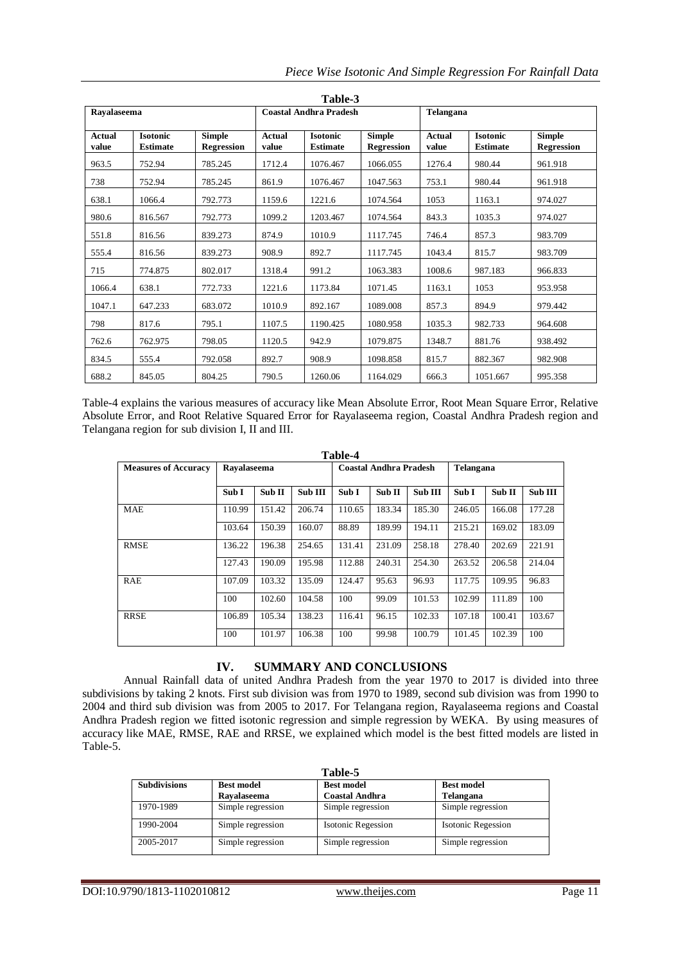|  |  |  |  |  | Piece Wise Isotonic And Simple Regression For Rainfall Data |  |  |  |
|--|--|--|--|--|-------------------------------------------------------------|--|--|--|
|--|--|--|--|--|-------------------------------------------------------------|--|--|--|

|                        | Table-3                            |                                    |                        |                                    |                                    |                        |                                    |                                    |  |
|------------------------|------------------------------------|------------------------------------|------------------------|------------------------------------|------------------------------------|------------------------|------------------------------------|------------------------------------|--|
| Ravalaseema            |                                    |                                    |                        | <b>Coastal Andhra Pradesh</b>      |                                    | Telangana              |                                    |                                    |  |
| <b>Actual</b><br>value | <b>Isotonic</b><br><b>Estimate</b> | <b>Simple</b><br><b>Regression</b> | <b>Actual</b><br>value | <b>Isotonic</b><br><b>Estimate</b> | <b>Simple</b><br><b>Regression</b> | <b>Actual</b><br>value | <b>Isotonic</b><br><b>Estimate</b> | <b>Simple</b><br><b>Regression</b> |  |
| 963.5                  | 752.94                             | 785.245                            | 1712.4                 | 1076.467                           | 1066.055                           | 1276.4                 | 980.44                             | 961.918                            |  |
| 738                    | 752.94                             | 785.245                            | 861.9                  | 1076.467                           | 1047.563                           | 753.1                  | 980.44                             | 961.918                            |  |
| 638.1                  | 1066.4                             | 792.773                            | 1159.6                 | 1221.6                             | 1074.564                           | 1053                   | 1163.1                             | 974.027                            |  |
| 980.6                  | 816.567                            | 792.773                            | 1099.2                 | 1203.467                           | 1074.564                           | 843.3                  | 1035.3                             | 974.027                            |  |
| 551.8                  | 816.56                             | 839.273                            | 874.9                  | 1010.9                             | 1117.745                           | 746.4                  | 857.3                              | 983.709                            |  |
| 555.4                  | 816.56                             | 839.273                            | 908.9                  | 892.7                              | 1117.745                           | 1043.4                 | 815.7                              | 983.709                            |  |
| 715                    | 774.875                            | 802.017                            | 1318.4                 | 991.2                              | 1063.383                           | 1008.6                 | 987.183                            | 966.833                            |  |
| 1066.4                 | 638.1                              | 772.733                            | 1221.6                 | 1173.84                            | 1071.45                            | 1163.1                 | 1053                               | 953.958                            |  |
| 1047.1                 | 647.233                            | 683.072                            | 1010.9                 | 892.167                            | 1089.008                           | 857.3                  | 894.9                              | 979.442                            |  |
| 798                    | 817.6                              | 795.1                              | 1107.5                 | 1190.425                           | 1080.958                           | 1035.3                 | 982.733                            | 964.608                            |  |
| 762.6                  | 762.975                            | 798.05                             | 1120.5                 | 942.9                              | 1079.875                           | 1348.7                 | 881.76                             | 938.492                            |  |
| 834.5                  | 555.4                              | 792.058                            | 892.7                  | 908.9                              | 1098.858                           | 815.7                  | 882.367                            | 982.908                            |  |
| 688.2                  | 845.05                             | 804.25                             | 790.5                  | 1260.06                            | 1164.029                           | 666.3                  | 1051.667                           | 995.358                            |  |

Table-4 explains the various measures of accuracy like Mean Absolute Error, Root Mean Square Error, Relative Absolute Error, and Root Relative Squared Error for Rayalaseema region, Coastal Andhra Pradesh region and Telangana region for sub division I, II and III.

| Table-4                     |             |        |         |        |                               |         |           |        |         |
|-----------------------------|-------------|--------|---------|--------|-------------------------------|---------|-----------|--------|---------|
| <b>Measures of Accuracy</b> | Ravalaseema |        |         |        | <b>Coastal Andhra Pradesh</b> |         | Telangana |        |         |
|                             |             |        |         |        |                               |         |           |        |         |
|                             | Sub I       | Sub II | Sub III | Sub I  | Sub II                        | Sub III | Sub I     | Sub II | Sub III |
| MAE                         | 110.99      | 151.42 | 206.74  | 110.65 | 183.34                        | 185.30  | 246.05    | 166.08 | 177.28  |
|                             | 103.64      | 150.39 | 160.07  | 88.89  | 189.99                        | 194.11  | 215.21    | 169.02 | 183.09  |
| <b>RMSE</b>                 | 136.22      | 196.38 | 254.65  | 131.41 | 231.09                        | 258.18  | 278.40    | 202.69 | 221.91  |
|                             | 127.43      | 190.09 | 195.98  | 112.88 | 240.31                        | 254.30  | 263.52    | 206.58 | 214.04  |
| RAE                         | 107.09      | 103.32 | 135.09  | 124.47 | 95.63                         | 96.93   | 117.75    | 109.95 | 96.83   |
|                             | 100         | 102.60 | 104.58  | 100    | 99.09                         | 101.53  | 102.99    | 111.89 | 100     |
| <b>RRSE</b>                 | 106.89      | 105.34 | 138.23  | 116.41 | 96.15                         | 102.33  | 107.18    | 100.41 | 103.67  |
|                             | 100         | 101.97 | 106.38  | 100    | 99.98                         | 100.79  | 101.45    | 102.39 | 100     |

## **IV. SUMMARY AND CONCLUSIONS**

Annual Rainfall data of united Andhra Pradesh from the year 1970 to 2017 is divided into three subdivisions by taking 2 knots. First sub division was from 1970 to 1989, second sub division was from 1990 to 2004 and third sub division was from 2005 to 2017. For Telangana region, Rayalaseema regions and Coastal Andhra Pradesh region we fitted isotonic regression and simple regression by WEKA. By using measures of accuracy like MAE, RMSE, RAE and RRSE, we explained which model is the best fitted models are listed in Table-5.

| Table-5             |                   |                           |                           |  |  |  |  |
|---------------------|-------------------|---------------------------|---------------------------|--|--|--|--|
| <b>Subdivisions</b> | <b>Best model</b> | <b>Best model</b>         | <b>Best model</b>         |  |  |  |  |
|                     | Ravalaseema       | <b>Coastal Andhra</b>     | Telangana                 |  |  |  |  |
| 1970-1989           | Simple regression | Simple regression         | Simple regression         |  |  |  |  |
| 1990-2004           | Simple regression | <b>Isotonic Regession</b> | <b>Isotonic Regession</b> |  |  |  |  |
| 2005-2017           | Simple regression | Simple regression         | Simple regression         |  |  |  |  |